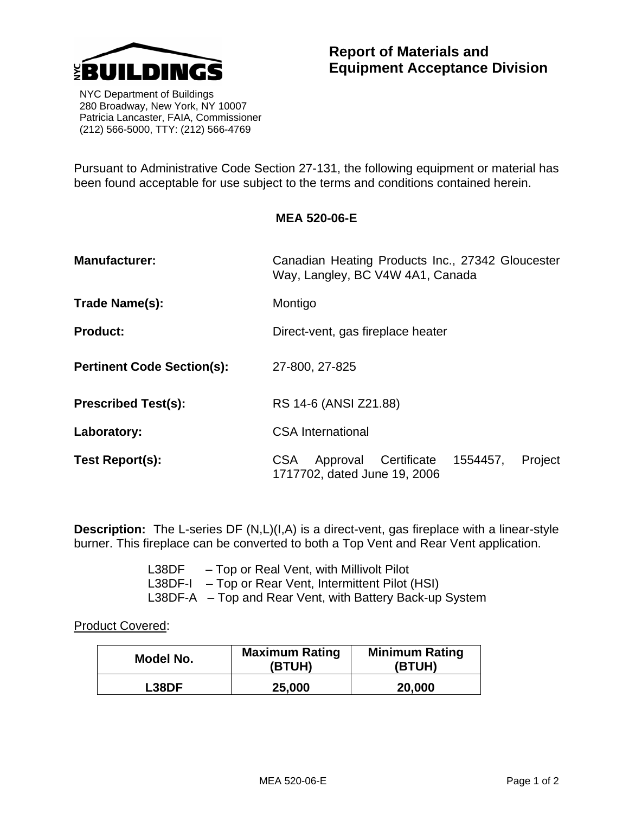

 NYC Department of Buildings 280 Broadway, New York, NY 10007 Patricia Lancaster, FAIA, Commissioner (212) 566-5000, TTY: (212) 566-4769

Pursuant to Administrative Code Section 27-131, the following equipment or material has been found acceptable for use subject to the terms and conditions contained herein.

## **MEA 520-06-E**

| <b>Manufacturer:</b>              | Canadian Heating Products Inc., 27342 Gloucester<br>Way, Langley, BC V4W 4A1, Canada      |  |  |
|-----------------------------------|-------------------------------------------------------------------------------------------|--|--|
| Trade Name(s):                    | Montigo                                                                                   |  |  |
| <b>Product:</b>                   | Direct-vent, gas fireplace heater                                                         |  |  |
| <b>Pertinent Code Section(s):</b> | 27-800, 27-825                                                                            |  |  |
| <b>Prescribed Test(s):</b>        | RS 14-6 (ANSI Z21.88)                                                                     |  |  |
| Laboratory:                       | <b>CSA</b> International                                                                  |  |  |
| Test Report(s):                   | Approval Certificate<br>Project<br><b>CSA</b><br>1554457,<br>1717702, dated June 19, 2006 |  |  |

**Description:** The L-series DF (N,L)(I,A) is a direct-vent, gas fireplace with a linear-style burner. This fireplace can be converted to both a Top Vent and Rear Vent application.

> L38DF – Top or Real Vent, with Millivolt Pilot L38DF-I – Top or Rear Vent, Intermittent Pilot (HSI) L38DF-A – Top and Rear Vent, with Battery Back-up System

Product Covered:

| Model No.    | <b>Maximum Rating</b><br>(BTUH) | <b>Minimum Rating</b><br>(BTUH) |
|--------------|---------------------------------|---------------------------------|
| <b>L38DF</b> | 25,000                          | 20,000                          |